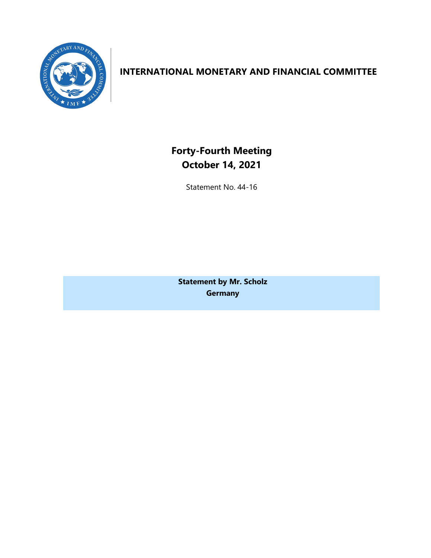

# **INTERNATIONAL MONETARY AND FINANCIAL COMMITTEE**

**Forty-Fourth Meeting October 14, 2021**

Statement No. 44-16

**Statement by Mr. Scholz Germany**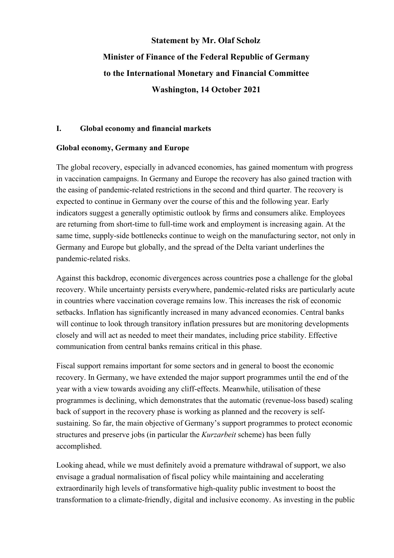# **Statement by Mr. Olaf Scholz Minister of Finance of the Federal Republic of Germany to the International Monetary and Financial Committee Washington, 14 October 2021**

### **I. Global economy and financial markets**

## **Global economy, Germany and Europe**

The global recovery, especially in advanced economies, has gained momentum with progress in vaccination campaigns. In Germany and Europe the recovery has also gained traction with the easing of pandemic-related restrictions in the second and third quarter. The recovery is expected to continue in Germany over the course of this and the following year. Early indicators suggest a generally optimistic outlook by firms and consumers alike. Employees are returning from short-time to full-time work and employment is increasing again. At the same time, supply-side bottlenecks continue to weigh on the manufacturing sector, not only in Germany and Europe but globally, and the spread of the Delta variant underlines the pandemic-related risks.

Against this backdrop, economic divergences across countries pose a challenge for the global recovery. While uncertainty persists everywhere, pandemic-related risks are particularly acute in countries where vaccination coverage remains low. This increases the risk of economic setbacks. Inflation has significantly increased in many advanced economies. Central banks will continue to look through transitory inflation pressures but are monitoring developments closely and will act as needed to meet their mandates, including price stability. Effective communication from central banks remains critical in this phase.

Fiscal support remains important for some sectors and in general to boost the economic recovery. In Germany, we have extended the major support programmes until the end of the year with a view towards avoiding any cliff-effects. Meanwhile, utilisation of these programmes is declining, which demonstrates that the automatic (revenue-loss based) scaling back of support in the recovery phase is working as planned and the recovery is selfsustaining. So far, the main objective of Germany's support programmes to protect economic structures and preserve jobs (in particular the *Kurzarbeit* scheme) has been fully accomplished.

Looking ahead, while we must definitely avoid a premature withdrawal of support, we also envisage a gradual normalisation of fiscal policy while maintaining and accelerating extraordinarily high levels of transformative high-quality public investment to boost the transformation to a climate-friendly, digital and inclusive economy. As investing in the public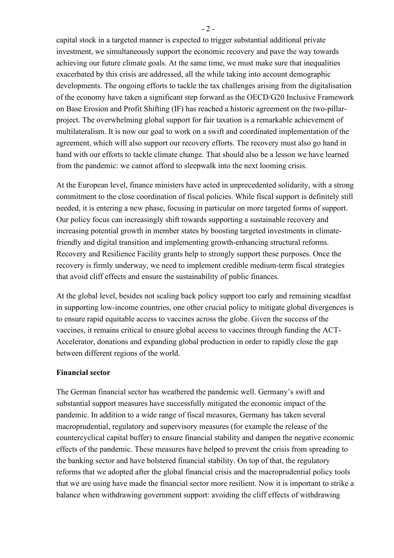capital stock in a targeted manner is expected to trigger substantial additional private investment, we simultaneously support the economic recovery and pave the way towards achieving our future climate goals. At the same time, we must make sure that inequalities exacerbated by this crisis are addressed, all the while taking into account demographic developments. The ongoing efforts to tackle the tax challenges arising from the digitalisation of the economy have taken a significant step forward as the OECD/G20 Inclusive Framework on Base Erosion and Profit Shifting (IF) has reached a historic agreement on the two-pillarproject. The overwhelming global support for fair taxation is a remarkable achievement of multilateralism. It is now our goal to work on a swift and coordinated implementation of the agreement, which will also support our recovery efforts. The recovery must also go hand in hand with our efforts to tackle climate change. That should also be a lesson we have learned from the pandemic: we cannot afford to sleepwalk into the next looming crisis.

At the European level, finance ministers have acted in unprecedented solidarity, with a strong commitment to the close coordination of fiscal policies. While fiscal support is definitely still needed, it is entering a new phase, focusing in particular on more targeted forms of support. Our policy focus can increasingly shift towards supporting a sustainable recovery and increasing potential growth in member states by boosting targeted investments in climatefriendly and digital transition and implementing growth-enhancing structural reforms. Recovery and Resilience Facility grants help to strongly support these purposes. Once the recovery is firmly underway, we need to implement credible medium-term fiscal strategies that avoid cliff effects and ensure the sustainability of public finances.

At the global level, besides not scaling back policy support too early and remaining steadfast in supporting low-income countries, one other crucial policy to mitigate global divergences is to ensure rapid equitable access to vaccines across the globe. Given the success of the vaccines, it remains critical to ensure global access to vaccines through funding the ACT-Accelerator, donations and expanding global production in order to rapidly close the gap between different regions of the world.

#### **Financial sector**

The German financial sector has weathered the pandemic well. Germany's swift and substantial support measures have successfully mitigated the economic impact of the pandemic. In addition to a wide range of fiscal measures, Germany has taken several macroprudential, regulatory and supervisory measures (for example the release of the countercyclical capital buffer) to ensure financial stability and dampen the negative economic effects of the pandemic. These measures have helped to prevent the crisis from spreading to the banking sector and have bolstered financial stability. On top of that, the regulatory reforms that we adopted after the global financial crisis and the macroprudential policy tools that we are using have made the financial sector more resilient. Now it is important to strike a balance when withdrawing government support: avoiding the cliff effects of withdrawing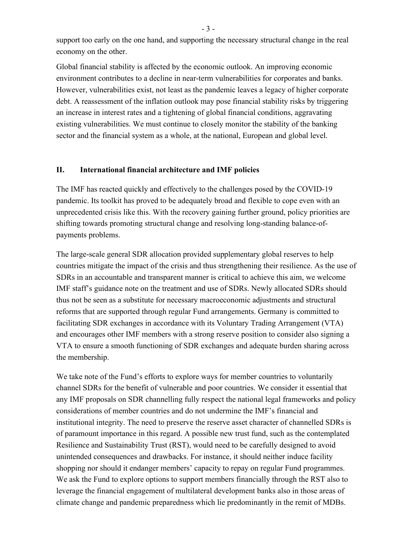support too early on the one hand, and supporting the necessary structural change in the real economy on the other.

Global financial stability is affected by the economic outlook. An improving economic environment contributes to a decline in near-term vulnerabilities for corporates and banks. However, vulnerabilities exist, not least as the pandemic leaves a legacy of higher corporate debt. A reassessment of the inflation outlook may pose financial stability risks by triggering an increase in interest rates and a tightening of global financial conditions, aggravating existing vulnerabilities. We must continue to closely monitor the stability of the banking sector and the financial system as a whole, at the national, European and global level.

#### **II. International financial architecture and IMF policies**

The IMF has reacted quickly and effectively to the challenges posed by the COVID-19 pandemic. Its toolkit has proved to be adequately broad and flexible to cope even with an unprecedented crisis like this. With the recovery gaining further ground, policy priorities are shifting towards promoting structural change and resolving long-standing balance-ofpayments problems.

The large-scale general SDR allocation provided supplementary global reserves to help countries mitigate the impact of the crisis and thus strengthening their resilience. As the use of SDRs in an accountable and transparent manner is critical to achieve this aim, we welcome IMF staff's guidance note on the treatment and use of SDRs. Newly allocated SDRs should thus not be seen as a substitute for necessary macroeconomic adjustments and structural reforms that are supported through regular Fund arrangements. Germany is committed to facilitating SDR exchanges in accordance with its Voluntary Trading Arrangement (VTA) and encourages other IMF members with a strong reserve position to consider also signing a VTA to ensure a smooth functioning of SDR exchanges and adequate burden sharing across the membership.

We take note of the Fund's efforts to explore ways for member countries to voluntarily channel SDRs for the benefit of vulnerable and poor countries. We consider it essential that any IMF proposals on SDR channelling fully respect the national legal frameworks and policy considerations of member countries and do not undermine the IMF's financial and institutional integrity. The need to preserve the reserve asset character of channelled SDRs is of paramount importance in this regard. A possible new trust fund, such as the contemplated Resilience and Sustainability Trust (RST), would need to be carefully designed to avoid unintended consequences and drawbacks. For instance, it should neither induce facility shopping nor should it endanger members' capacity to repay on regular Fund programmes. We ask the Fund to explore options to support members financially through the RST also to leverage the financial engagement of multilateral development banks also in those areas of climate change and pandemic preparedness which lie predominantly in the remit of MDBs.

- 3 -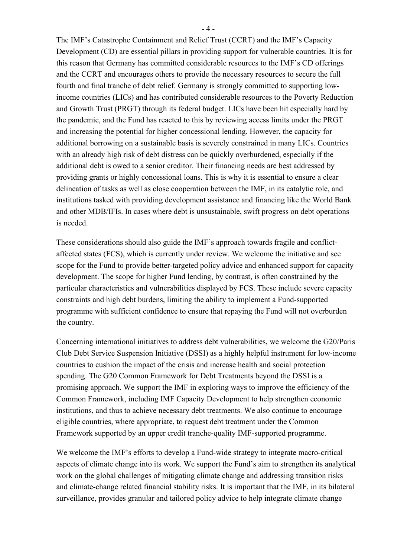The IMF's Catastrophe Containment and Relief Trust (CCRT) and the IMF's Capacity Development (CD) are essential pillars in providing support for vulnerable countries. It is for this reason that Germany has committed considerable resources to the IMF's CD offerings and the CCRT and encourages others to provide the necessary resources to secure the full fourth and final tranche of debt relief. Germany is strongly committed to supporting lowincome countries (LICs) and has contributed considerable resources to the Poverty Reduction and Growth Trust (PRGT) through its federal budget. LICs have been hit especially hard by the pandemic, and the Fund has reacted to this by reviewing access limits under the PRGT and increasing the potential for higher concessional lending. However, the capacity for additional borrowing on a sustainable basis is severely constrained in many LICs. Countries with an already high risk of debt distress can be quickly overburdened, especially if the additional debt is owed to a senior creditor. Their financing needs are best addressed by providing grants or highly concessional loans. This is why it is essential to ensure a clear delineation of tasks as well as close cooperation between the IMF, in its catalytic role, and institutions tasked with providing development assistance and financing like the World Bank and other MDB/IFIs. In cases where debt is unsustainable, swift progress on debt operations is needed.

These considerations should also guide the IMF's approach towards fragile and conflictaffected states (FCS), which is currently under review. We welcome the initiative and see scope for the Fund to provide better-targeted policy advice and enhanced support for capacity development. The scope for higher Fund lending, by contrast, is often constrained by the particular characteristics and vulnerabilities displayed by FCS. These include severe capacity constraints and high debt burdens, limiting the ability to implement a Fund-supported programme with sufficient confidence to ensure that repaying the Fund will not overburden the country.

Concerning international initiatives to address debt vulnerabilities, we welcome the G20/Paris Club Debt Service Suspension Initiative (DSSI) as a highly helpful instrument for low-income countries to cushion the impact of the crisis and increase health and social protection spending. The G20 Common Framework for Debt Treatments beyond the DSSI is a promising approach. We support the IMF in exploring ways to improve the efficiency of the Common Framework, including IMF Capacity Development to help strengthen economic institutions, and thus to achieve necessary debt treatments. We also continue to encourage eligible countries, where appropriate, to request debt treatment under the Common Framework supported by an upper credit tranche-quality IMF-supported programme.

We welcome the IMF's efforts to develop a Fund-wide strategy to integrate macro-critical aspects of climate change into its work. We support the Fund's aim to strengthen its analytical work on the global challenges of mitigating climate change and addressing transition risks and climate-change related financial stability risks. It is important that the IMF, in its bilateral surveillance, provides granular and tailored policy advice to help integrate climate change

- 4 -